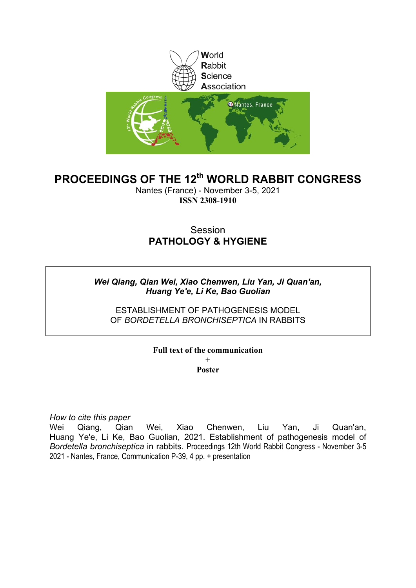

# **PROCEEDINGS OF THE 12th WORLD RABBIT CONGRESS**

Nantes (France) - November 3-5, 2021 **ISSN 2308-1910**

# Session **PATHOLOGY & HYGIENE**

### *Wei Qiang, Qian Wei, Xiao Chenwen, Liu Yan, Ji Quan'an, Huang Ye'e, Li Ke, Bao Guolian*

ESTABLISHMENT OF PATHOGENESIS MODEL OF *BORDETELLA BRONCHISEPTICA* IN RABBITS

### **Full text of the communication +**

**Poster**

*How to cite this paper*

Wei Qiang, Qian Wei, Xiao Chenwen, Liu Yan, Ji Quan'an, Huang Ye'e, Li Ke, Bao Guolian, 2021. Establishment of pathogenesis model of *Bordetella bronchiseptica* in rabbits. Proceedings 12th World Rabbit Congress - November 3-5 2021 - Nantes, France, Communication P-39, 4 pp. + presentation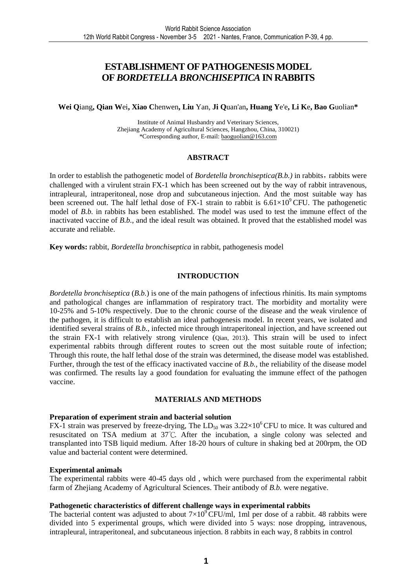## **ESTABLISHMENT OF PATHOGENESIS MODEL OF** *BORDETELLA BRONCHISEPTICA* **IN RABBITS**

#### **Wei Q**iang**, Qian W**ei**, Xiao C**henwen**, Liu** Yan, **Ji Q**uan'an**, Huang Y**e'e**, Li K**e**, Bao G**uolian**\***

Institute of Animal Husbandry and Veterinary Sciences, Zhejiang Academy of Agricultural Sciences, Hangzhou, China, 310021) \*Corresponding author, E-mail: baoguolian@163.com

#### **ABSTRACT**

In order to establish the pathogenetic model of *Bordetella bronchiseptica(B.b.)* in rabbits,rabbits were challenged with a virulent strain FX-1 which has been screened out by the way of rabbit intravenous, intrapleural, intraperitoneal, nose drop and subcutaneous injection. And the most suitable way has been screened out. The half lethal dose of FX-1 strain to rabbit is  $6.61\times10^{9}$  CFU. The pathogenetic model of *B.b.* in rabbits has been established. The model was used to test the immune effect of the inactivated vaccine of *B.b.*, and the ideal result was obtained. It proved that the established model was accurate and reliable.

**Key words:** rabbit, *Bordetella bronchiseptica* in rabbit, pathogenesis model

#### **INTRODUCTION**

*Bordetella bronchiseptica* (*B.b.*) is one of the main pathogens of infectious rhinitis. Its main symptoms and pathological changes are inflammation of respiratory tract. The morbidity and mortality were 10-25% and 5-10% respectively. Due to the chronic course of the disease and the weak virulence of the pathogen, it is difficult to establish an ideal pathogenesis model. In recent years, we isolated and identified several strains of *B.b.*, infected mice through intraperitoneal injection, and have screened out the strain FX-1 with relatively strong virulence (Qian, 2013). This strain will be used to infect experimental rabbits through different routes to screen out the most suitable route of infection; Through this route, the half lethal dose of the strain was determined, the disease model was established. Further, through the test of the efficacy inactivated vaccine of *B.b.*, the reliability of the disease model was confirmed. The results lay a good foundation for evaluating the immune effect of the pathogen vaccine.

#### **MATERIALS AND METHODS**

#### **Preparation of experiment strain and bacterial solution**

FX-1 strain was preserved by freeze-drying, The  $LD_{50}$  was  $3.22 \times 10^{6}$  CFU to mice. It was cultured and resuscitated on TSA medium at 37°C. After the incubation, a single colony was selected and transplanted into TSB liquid medium. After 18-20 hours of culture in shaking bed at 200rpm, the OD value and bacterial content were determined.

#### **Experimental animals**

The experimental rabbits were 40-45 days old , which were purchased from the experimental rabbit farm of Zhejiang Academy of Agricultural Sciences. Their antibody of *B.b.* were negative.

#### **Pathogenetic characteristics of different challenge ways in experimental rabbits**

The bacterial content was adjusted to about  $7\times10^9$  CFU/ml, 1ml per dose of a rabbit. 48 rabbits were divided into 5 experimental groups, which were divided into 5 ways: nose dropping, intravenous, intrapleural, intraperitoneal, and subcutaneous injection. 8 rabbits in each way, 8 rabbits in control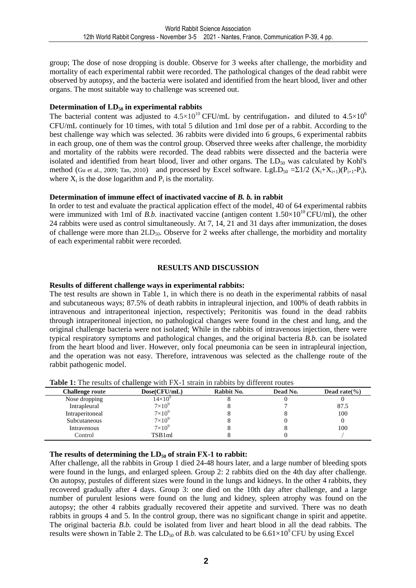group; The dose of nose dropping is double. Observe for 3 weeks after challenge, the morbidity and mortality of each experimental rabbit were recorded. The pathological changes of the dead rabbit were observed by autopsy, and the bacteria were isolated and identified from the heart blood, liver and other organs. The most suitable way to challenge was screened out.

#### **Determination of LD50 in experimental rabbits**

The bacterial content was adjusted to  $4.5 \times 10^{10}$  CFU/mL by centrifugation, and diluted to  $4.5 \times 10^{6}$ CFU/mL continuely for 10 times, with total 5 dilution and 1ml dose per of a rabbit. According to the best challenge way which was selected. 36 rabbits were divided into 6 groups, 6 experimental rabbits in each group, one of them was the control group. Observed three weeks after challenge, the morbidity and mortality of the rabbits were recorded. The dead rabbits were dissected and the bacteria were isolated and identified from heart blood, liver and other organs. The  $LD_{50}$  was calculated by Kohl's method (Gu et al., 2009; Tan, 2010) and processed by Excel software. LgLD<sub>50</sub> = $\Sigma$ 1/2 (X<sub>i</sub>+X<sub>i+1</sub>)(P<sub>i+1</sub>-P<sub>i</sub>), where  $X_i$  is the dose logarithm and  $P_i$  is the mortality.

#### **Determination of immune effect of inactivated vaccine of** *B. b.* **in rabbit**

In order to test and evaluate the practical application effect of the model, 40 of 64 experimental rabbits were immunized with 1ml of *B.b.* inactivated vaccine (antigen content  $1.50 \times 10^{10}$  CFU/ml), the other 24 rabbits were used as control simultaneously. At 7, 14, 21 and 31 days after immunization, the doses of challenge were more than  $2LD_{50}$ . Observe for 2 weeks after challenge, the morbidity and mortality of each experimental rabbit were recorded.

#### **RESULTS AND DISCUSSION**

#### **Results of different challenge ways in experimental rabbits:**

The test results are shown in Table 1, in which there is no death in the experimental rabbits of nasal and subcutaneous ways; 87.5% of death rabbits in intrapleural injection, and 100% of death rabbits in intravenous and intraperitoneal injection, respectively; Peritonitis was found in the dead rabbits through intraperitoneal injection, no pathological changes were found in the chest and lung, and the original challenge bacteria were not isolated; While in the rabbits of intravenous injection, there were typical respiratory symptoms and pathological changes, and the original bacteria *B.b.* can be isolated from the heart blood and liver. However, only focal pneumonia can be seen in intrapleural injection, and the operation was not easy. Therefore, intravenous was selected as the challenge route of the rabbit pathogenic model.

8 8 100

8 8 100

8 0 0

| <b>LADIC 1.</b> THE TESURES OF CHANCILE WILL FA-T SILAM IN LADDIES BY UNICICIAL FOULES |                  |            |          |                |
|----------------------------------------------------------------------------------------|------------------|------------|----------|----------------|
| <b>Challenge route</b>                                                                 | Dose(CFU/mL)     | Rabbit No. | Dead No. | Dead rate $\%$ |
| Nose dropping                                                                          | $14\times10^{9}$ |            |          |                |
| Intrapleural                                                                           | $7\times10^9$    |            |          | 87.1           |

**Table 1:** The results of challenge with FX-1 strain in rabbits by different routes

#### **The results of determining the LD50 of strain FX-1 to rabbit:**

Intraperitoneal  $7 \times 10^9$ 

Subcutaneous  $7 \times 10^9$ 

Intravenous  $7 \times 10^9$ <br>Control TSB1ml

After challenge, all the rabbits in Group 1 died 24-48 hours later, and a large number of bleeding spots were found in the lungs, and enlarged spleen. Group 2: 2 rabbits died on the 4th day after challenge. On autopsy, pustules of different sizes were found in the lungs and kidneys. In the other 4 rabbits, they recovered gradually after 4 days. Group 3: one died on the 10th day after challenge, and a large number of purulent lesions were found on the lung and kidney, spleen atrophy was found on the autopsy; the other 4 rabbits gradually recovered their appetite and survived. There was no death rabbits in groups 4 and 5. In the control group, there was no significant change in spirit and appetite. The original bacteria *B.b.* could be isolated from liver and heart blood in all the dead rabbits. The results were shown in Table 2. The  $LD_{50}$  of *B.b.* was calculated to be  $6.61 \times 10^9$  CFU by using Excel

 $\text{Control}$   $\text{TSB1ml}$  8 0 /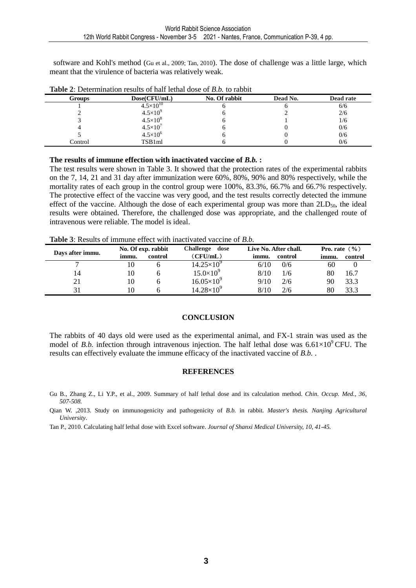software and Kohl's method (Gu et al., 2009; Tan, 2010). The dose of challenge was a little large, which meant that the virulence of bacteria was relatively weak.

| <b>Table 2.</b> Determination results of half-fealth about 0.1 <i>D</i> .0. to rapple |                      |               |          |           |
|---------------------------------------------------------------------------------------|----------------------|---------------|----------|-----------|
| <b>Groups</b>                                                                         | Dose(CFU/mL)         | No. Of rabbit | Dead No. | Dead rate |
|                                                                                       | $4.5 \times 10^{10}$ |               |          | 6/6       |
|                                                                                       | $4.5 \times 10^{9}$  |               |          | 2/6       |
|                                                                                       | $4.5 \times 10^{8}$  |               |          | 1/6       |
|                                                                                       | $4.5 \times 10'$     |               |          | 0/6       |
|                                                                                       | $4.5 \times 10^{6}$  |               |          | 0/6       |
| Control                                                                               | TSB1ml               |               |          | 0/6       |

**Table 2**: Determination results of half lethal dose of *B.b.* to rabbit

#### **The results of immune effection with inactivated vaccine of** *B.b.* **:**

The test results were shown in Table 3. It showed that the protection rates of the experimental rabbits on the 7, 14, 21 and 31 day after immunization were 60%, 80%, 90% and 80% respectively, while the mortality rates of each group in the control group were 100%, 83.3%, 66.7% and 66.7% respectively. The protective effect of the vaccine was very good, and the test results correctly detected the immune effect of the vaccine. Although the dose of each experimental group was more than  $2LD_{50}$ , the ideal results were obtained. Therefore, the challenged dose was appropriate, and the challenged route of intravenous were reliable. The model is ideal.

**Table 3**: Results of immune effect with inactivated vaccine of *B.b.* 

| Days after immu. |       | No. Of exp. rabbit | Challenge dose      | Live No. After chall. | Pro. rate $(\% )$ |
|------------------|-------|--------------------|---------------------|-----------------------|-------------------|
|                  | immu. | control            | (CFU/mL)            | control<br>immu.      | control<br>immu.  |
| −                |       |                    | $14.25\times10^{9}$ | 6/10<br>0/6           | 60                |
| 14               | 10    |                    | $15.0\times10^{9}$  | 8/10<br>1/6           | 80<br>16.7        |
| 21               | 10    |                    | $16.05\times10^{9}$ | 9/10<br>2/6           | 33.3<br>90        |
| 31               |       |                    | $14.28\times10^{9}$ | 8/10<br>2/6           | 33.3<br>80        |

#### **CONCLUSION**

The rabbits of 40 days old were used as the experimental animal, and FX-1 strain was used as the model of *B.b.* infection through intravenous injection. The half lethal dose was  $6.61\times10^{9}$  CFU. The results can effectively evaluate the immune efficacy of the inactivated vaccine of *B.b.* .

#### **REFERENCES**

Gu B., Zhang Z., Li Y.P., et al., 2009. Summary of half lethal dose and its calculation method. *Chin. Occup. Med., 36, 507-508.* 

Qian W. ,2013. Study on immunogenicity and pathogenicity of *B.b.* in rabbit*. Master's thesis. Nanjing Agricultural University*.

Tan P., 2010. Calculating half lethal dose with Excel software. *Journal of Shanxi Medical University, 10, 41-45.*